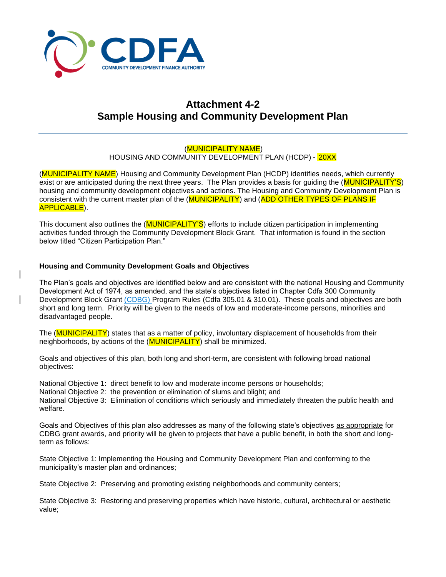

# **Attachment 4-2 Sample Housing and Community Development Plan**

# (MUNICIPALITY NAME)

HOUSING AND COMMUNITY DEVELOPMENT PLAN (HCDP) - 20XX

(**MUNICIPALITY NAME**) Housing and Community Development Plan (HCDP) identifies needs, which currently exist or are anticipated during the next three years. The Plan provides a basis for quiding the (MUNICIPALITY'S) housing and community development objectives and actions. The Housing and Community Development Plan is consistent with the current master plan of the (MUNICIPALITY) and (ADD OTHER TYPES OF PLANS IF APPLICABLE).

This document also outlines the (MUNICIPALITY'S) efforts to include citizen participation in implementing activities funded through the Community Development Block Grant. That information is found in the section below titled "Citizen Participation Plan."

### **Housing and Community Development Goals and Objectives**

The Plan's goals and objectives are identified below and are consistent with the national Housing and Community Development Act of 1974, as amended, and the state's objectives listed in Chapter Cdfa 300 Community Development Block Grant (CDBG) Program Rules (Cdfa 305.01 & 310.01). These goals and objectives are both short and long term. Priority will be given to the needs of low and moderate-income persons, minorities and disadvantaged people.

The (MUNICIPALITY) states that as a matter of policy, involuntary displacement of households from their neighborhoods, by actions of the (MUNICIPALITY) shall be minimized.

Goals and objectives of this plan, both long and short-term, are consistent with following broad national objectives:

National Objective 1: direct benefit to low and moderate income persons or households; National Objective 2: the prevention or elimination of slums and blight; and National Objective 3: Elimination of conditions which seriously and immediately threaten the public health and welfare.

Goals and Objectives of this plan also addresses as many of the following state's objectives as appropriate for CDBG grant awards, and priority will be given to projects that have a public benefit, in both the short and longterm as follows:

State Objective 1: Implementing the Housing and Community Development Plan and conforming to the municipality's master plan and ordinances;

State Objective 2: Preserving and promoting existing neighborhoods and community centers;

State Objective 3: Restoring and preserving properties which have historic, cultural, architectural or aesthetic value;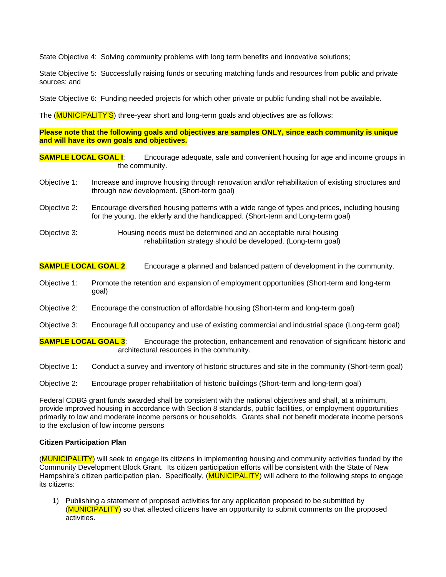State Objective 4: Solving community problems with long term benefits and innovative solutions;

State Objective 5: Successfully raising funds or securing matching funds and resources from public and private sources; and

State Objective 6: Funding needed projects for which other private or public funding shall not be available.

The (**MUNICIPALITY'S**) three-year short and long-term goals and objectives are as follows:

**Please note that the following goals and objectives are samples ONLY, since each community is unique and will have its own goals and objectives.**

**SAMPLE LOCAL GOAL <b>I**: Encourage adequate, safe and convenient housing for age and income groups in the community.

- Objective 1: Increase and improve housing through renovation and/or rehabilitation of existing structures and through new development. (Short-term goal)
- Objective 2: Encourage diversified housing patterns with a wide range of types and prices, including housing for the young, the elderly and the handicapped. (Short-term and Long-term goal)
- Objective 3: Housing needs must be determined and an acceptable rural housing rehabilitation strategy should be developed. (Long-term goal)

# **SAMPLE LOCAL GOAL 2:** Encourage a planned and balanced pattern of development in the community.

- Objective 1: Promote the retention and expansion of employment opportunities (Short-term and long-term goal)
- Objective 2: Encourage the construction of affordable housing (Short-term and long-term goal)
- Objective 3: Encourage full occupancy and use of existing commercial and industrial space (Long-term goal)

**SAMPLE LOCAL GOAL 3:** Encourage the protection, enhancement and renovation of significant historic and architectural resources in the community.

- Objective 1: Conduct a survey and inventory of historic structures and site in the community (Short-term goal)
- Objective 2: Encourage proper rehabilitation of historic buildings (Short-term and long-term goal)

Federal CDBG grant funds awarded shall be consistent with the national objectives and shall, at a minimum, provide improved housing in accordance with Section 8 standards, public facilities, or employment opportunities primarily to low and moderate income persons or households. Grants shall not benefit moderate income persons to the exclusion of low income persons

#### **Citizen Participation Plan**

(MUNICIPALITY) will seek to engage its citizens in implementing housing and community activities funded by the Community Development Block Grant. Its citizen participation efforts will be consistent with the State of New Hampshire's citizen participation plan. Specifically, (MUNICIPALITY) will adhere to the following steps to engage its citizens:

1) Publishing a statement of proposed activities for any application proposed to be submitted by (MUNICIPALITY) so that affected citizens have an opportunity to submit comments on the proposed activities.